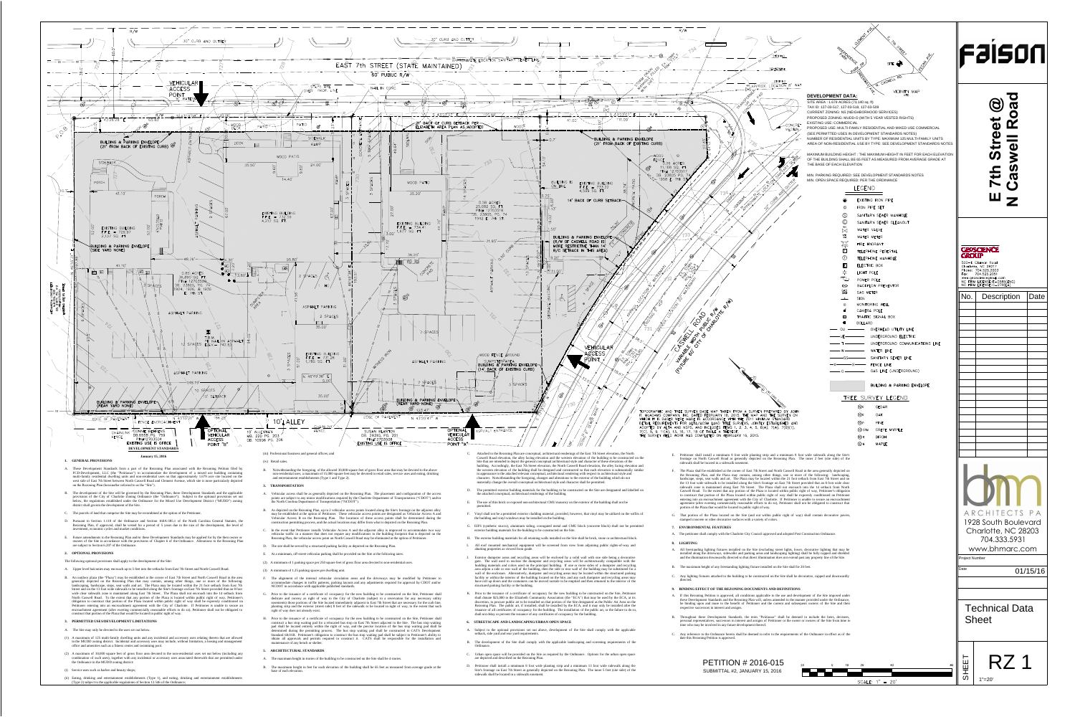